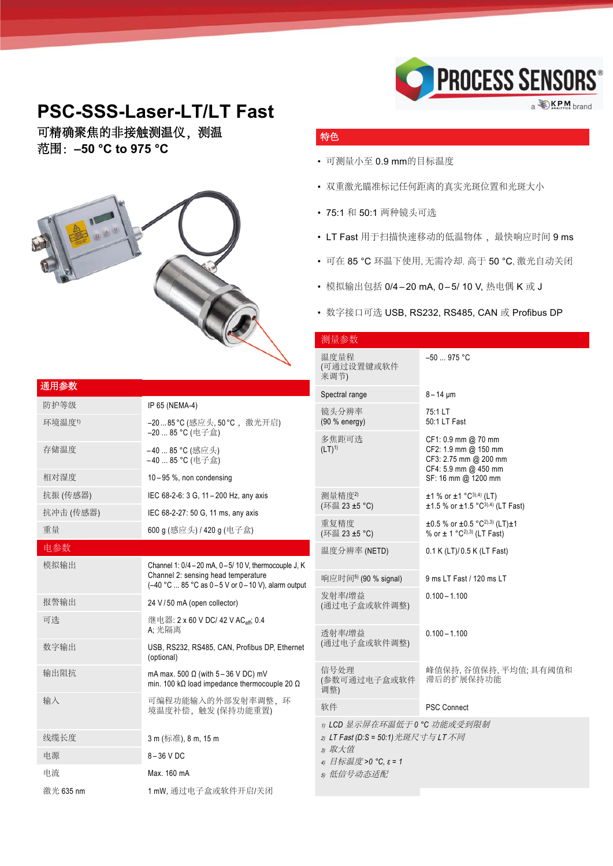## **PSC-SSS-Laser-LT/LT Fast**

可精确聚焦的非接触测温仪,测温 范围:**–50 °C to 975 °C**



| 通用参数      |                                                                                                                                               |
|-----------|-----------------------------------------------------------------------------------------------------------------------------------------------|
| 防护等级      | IP 65 (NEMA-4)                                                                                                                                |
| 环境温度1)    | -20…85 ℃ (感应头, 50 ℃, 激光开启)<br>-20  85 °C (电子盒)                                                                                                |
| 存储温度      | -40…85 ℃ (感应头)<br>-40  85 °C (电子盒)                                                                                                            |
| 相对湿度      | $10-95$ %, non condensing                                                                                                                     |
| 抗振 (传感器)  | IEC 68-2-6: 3 G, 11 - 200 Hz, any axis                                                                                                        |
| 抗冲击 (传感器) | IEC 68-2-27: 50 G, 11 ms, any axis                                                                                                            |
| 重量        | 600g(感应头) / 420g(电子盒)                                                                                                                         |
| 电参数       |                                                                                                                                               |
| 模拟输出      | Channel 1: 0/4-20 mA, 0-5/ 10 V, thermocouple J, K<br>Channel 2: sensing head temperature<br>(-40 °C  85 °C as 0-5 V or 0-10 V), alarm output |
| 报警输出      | 24 V/50 mA (open collector)                                                                                                                   |
| 可洗        | 继电器: 2 x 60 V DC/ 42 V AC <sub>eff</sub> ; 0.4<br>A: 光隔离                                                                                      |
| 数字输出      | USB, RS232, RS485, CAN, Profibus DP, Ethernet<br>(optional)                                                                                   |
| 输出阻抗      | mA max. 500 $\Omega$ (with 5 – 36 V DC) mV<br>min. 100 k $\Omega$ load impedance thermocouple 20 $\Omega$                                     |
| 输入        | 可编程功能输入的外部发射率调整, 环<br>境温度补偿, 触发(保持功能重置)                                                                                                       |
| 线缆长度      | 3 m (标准), 8 m, 15 m                                                                                                                           |
| 电源        | 8-36 V DC                                                                                                                                     |
| 电流        | Max. 160 mA                                                                                                                                   |
| 激光 635 nm | 1 mW, 通过电子盒或软件开启/关闭                                                                                                                           |



## 特色

- 可测量小至 0.9 mm的目标温度
- 双重激光瞄准标记任何距离的真实光斑位置和光斑大小
- 75:1 和 50:1 两种镜头可选
- LT Fast 用于扫描快速移动的低温物体,最快响应时间 9 ms
- 可在 85 °C 环温下使用, 无需冷却. 高于 50 °C, 激光自动关闭
- 模拟输出包括 0/4-20 mA, 0-5/ 10 V, 热电偶 K 或 J
- 数字接口可选 USB, RS232, RS485, CAN 或 Profibus DP

| 测量参数                                                                                                         |                                                                                                                     |
|--------------------------------------------------------------------------------------------------------------|---------------------------------------------------------------------------------------------------------------------|
| 温度量程<br>(可通过设置键或软件<br>来调节)                                                                                   | $-50975 °C$                                                                                                         |
| Spectral range                                                                                               | $8 - 14 \mu m$                                                                                                      |
| 镜头分辨率<br>(90 % energy)                                                                                       | 75:1 LT<br>50:1 LT Fast                                                                                             |
| 多焦距可选<br>$(LT)^{1}$                                                                                          | CF1: 0.9 mm @ 70 mm<br>CF2: 1.9 mm @ 150 mm<br>CF3: 2.75 mm @ 200 mm<br>CF4: 5.9 mm @ 450 mm<br>SF: 16 mm @ 1200 mm |
| 测量精度2)<br>(环温 23 ±5 °C)                                                                                      | $±1$ % or $±1$ °C <sup>3),4)</sup> (LT)<br>$\pm 1.5$ % or $\pm 1.5$ °C <sup>3),4)</sup> (LT Fast)                   |
| 重复精度<br>(环温 23 ±5 °C)                                                                                        | $\pm 0.5$ % or $\pm 0.5$ °C <sup>2),3)</sup> (LT) $\pm 1$<br>% or $\pm$ 1 °C <sup>2),3)</sup> (LT Fast)             |
| 温度分辨率 (NETD)                                                                                                 | 0.1 K (LT)/ 0.5 K (LT Fast)                                                                                         |
| 响应时间5) (90 % signal)                                                                                         | 9 ms LT Fast / 120 ms LT                                                                                            |
| 发射率/增益<br>(通过电子盒或软件调整)                                                                                       | $0.100 - 1.100$                                                                                                     |
| 诱射率/增益<br>(通过电子盒或软件调整)                                                                                       | $0.100 - 1.100$                                                                                                     |
| 信号处理<br>(参数可通过电子盒或软件<br>调整)                                                                                  | 峰值保持, 谷值保持, 平均值, 具有阈值和<br>滞后的扩展保持功能                                                                                 |
| 软件                                                                                                           | <b>PSC Connect</b>                                                                                                  |
| 1) LCD 显示屏在环温低于0℃ 功能或受到限制<br>2) LT Fast (D:S = 50:1) 光斑尺寸与 LT 不同<br>3) 取大值<br>4) 目标温度>0°C, ε=1<br>5) 低信号动态适配 |                                                                                                                     |